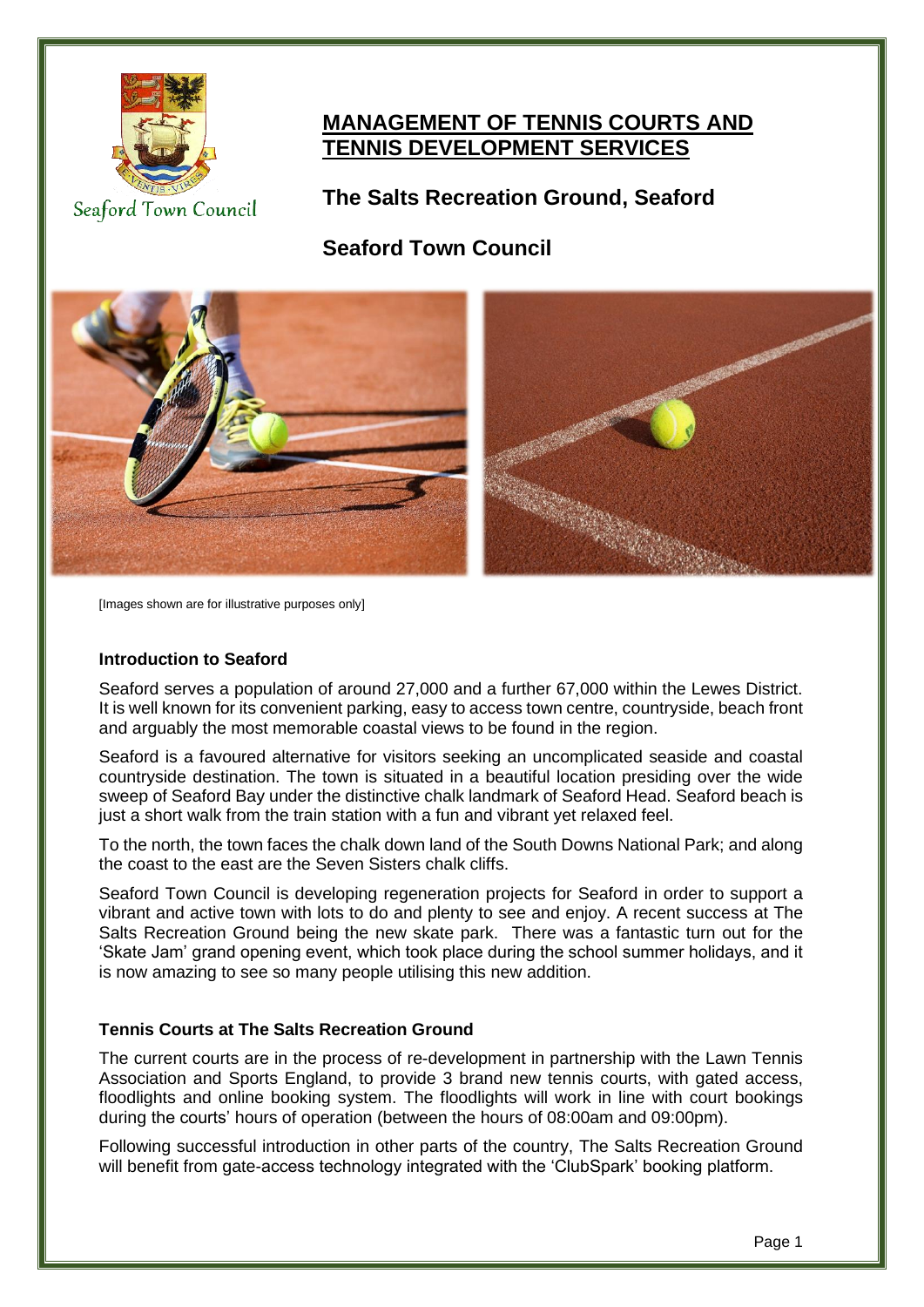

**MANAGEMENT OF TENNIS COURTS AND TENNIS DEVELOPMENT SERVICES**

Seaford Town Council

**The Salts Recreation Ground, Seaford**

**Seaford Town Council**



[Images shown are for illustrative purposes only]

## **Introduction to Seaford**

Seaford serves a population of around 27,000 and a further 67,000 within the Lewes District. It is well known for its convenient parking, easy to access town centre, countryside, beach front and arguably the most memorable coastal views to be found in the region.

Seaford is a favoured alternative for visitors seeking an uncomplicated seaside and coastal countryside destination. The town is situated in a beautiful location presiding over the wide sweep of Seaford Bay under the distinctive chalk landmark of Seaford Head. Seaford beach is just a short walk from the train station with a fun and vibrant yet relaxed feel.

To the north, the town faces the chalk down land of the South Downs National Park; and along the coast to the east are the Seven Sisters chalk cliffs.

Seaford Town Council is developing regeneration projects for Seaford in order to support a vibrant and active town with lots to do and plenty to see and enjoy. A recent success at The Salts Recreation Ground being the new skate park. There was a fantastic turn out for the 'Skate Jam' grand opening event, which took place during the school summer holidays, and it is now amazing to see so many people utilising this new addition.

## **Tennis Courts at The Salts Recreation Ground**

The current courts are in the process of re-development in partnership with the Lawn Tennis Association and Sports England, to provide 3 brand new tennis courts, with gated access, floodlights and online booking system. The floodlights will work in line with court bookings during the courts' hours of operation (between the hours of 08:00am and 09:00pm).

Following successful introduction in other parts of the country, The Salts Recreation Ground will benefit from gate-access technology integrated with the 'ClubSpark' booking platform.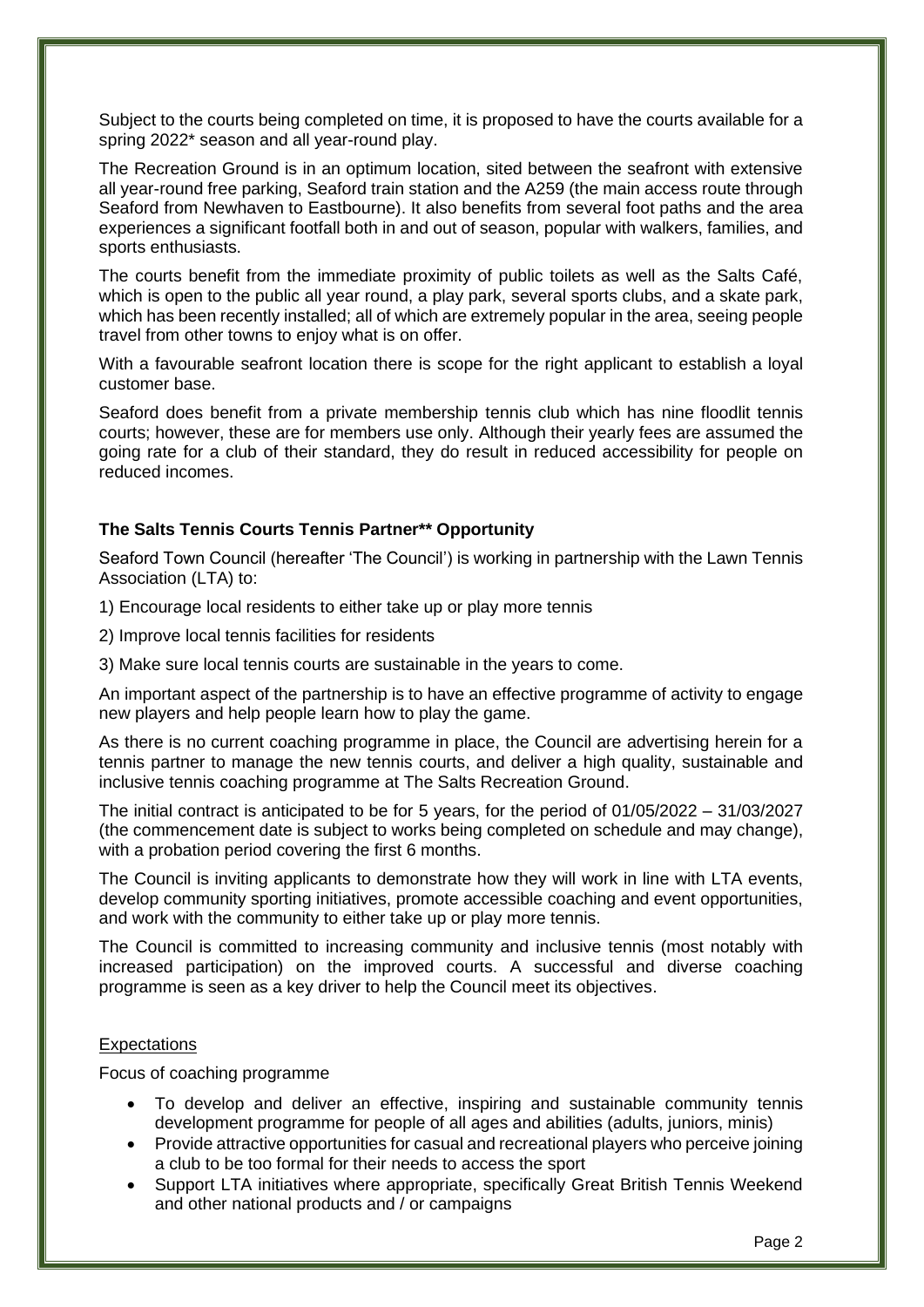Subject to the courts being completed on time, it is proposed to have the courts available for a spring 2022\* season and all year-round play.

The Recreation Ground is in an optimum location, sited between the seafront with extensive all year-round free parking, Seaford train station and the A259 (the main access route through Seaford from Newhaven to Eastbourne). It also benefits from several foot paths and the area experiences a significant footfall both in and out of season, popular with walkers, families, and sports enthusiasts.

The courts benefit from the immediate proximity of public toilets as well as the Salts Café, which is open to the public all year round, a play park, several sports clubs, and a skate park, which has been recently installed; all of which are extremely popular in the area, seeing people travel from other towns to enjoy what is on offer.

With a favourable seafront location there is scope for the right applicant to establish a loyal customer base.

Seaford does benefit from a private membership tennis club which has nine floodlit tennis courts; however, these are for members use only. Although their yearly fees are assumed the going rate for a club of their standard, they do result in reduced accessibility for people on reduced incomes.

## **The Salts Tennis Courts Tennis Partner\*\* Opportunity**

Seaford Town Council (hereafter 'The Council') is working in partnership with the Lawn Tennis Association (LTA) to:

1) Encourage local residents to either take up or play more tennis

2) Improve local tennis facilities for residents

3) Make sure local tennis courts are sustainable in the years to come.

An important aspect of the partnership is to have an effective programme of activity to engage new players and help people learn how to play the game.

As there is no current coaching programme in place, the Council are advertising herein for a tennis partner to manage the new tennis courts, and deliver a high quality, sustainable and inclusive tennis coaching programme at The Salts Recreation Ground.

The initial contract is anticipated to be for 5 years, for the period of 01/05/2022 – 31/03/2027 (the commencement date is subject to works being completed on schedule and may change), with a probation period covering the first 6 months.

The Council is inviting applicants to demonstrate how they will work in line with LTA events, develop community sporting initiatives, promote accessible coaching and event opportunities, and work with the community to either take up or play more tennis.

The Council is committed to increasing community and inclusive tennis (most notably with increased participation) on the improved courts. A successful and diverse coaching programme is seen as a key driver to help the Council meet its objectives.

#### **Expectations**

Focus of coaching programme

- To develop and deliver an effective, inspiring and sustainable community tennis development programme for people of all ages and abilities (adults, juniors, minis)
- Provide attractive opportunities for casual and recreational players who perceive joining a club to be too formal for their needs to access the sport
- Support LTA initiatives where appropriate, specifically Great British Tennis Weekend and other national products and / or campaigns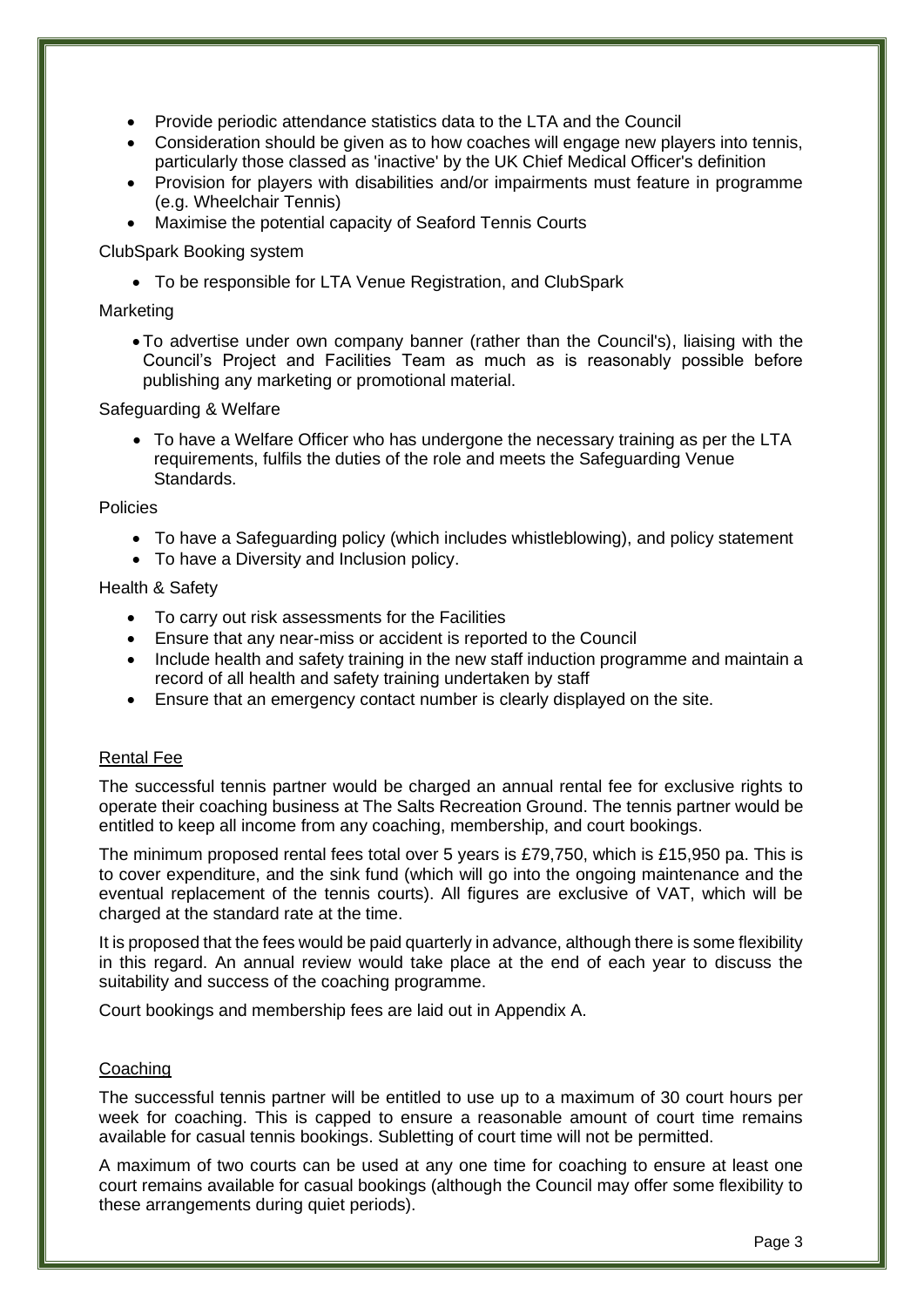- Provide periodic attendance statistics data to the LTA and the Council
- Consideration should be given as to how coaches will engage new players into tennis, particularly those classed as 'inactive' by the UK Chief Medical Officer's definition
- Provision for players with disabilities and/or impairments must feature in programme (e.g. Wheelchair Tennis)
- Maximise the potential capacity of Seaford Tennis Courts

#### ClubSpark Booking system

• To be responsible for LTA Venue Registration, and ClubSpark

#### **Marketing**

• To advertise under own company banner (rather than the Council's), liaising with the Council's Project and Facilities Team as much as is reasonably possible before publishing any marketing or promotional material.

#### Safeguarding & Welfare

• To have a Welfare Officer who has undergone the necessary training as per the LTA requirements, fulfils the duties of the role and meets the Safeguarding Venue Standards.

#### Policies

- To have a Safeguarding policy (which includes whistleblowing), and policy statement
- To have a Diversity and Inclusion policy.

#### Health & Safety

- To carry out risk assessments for the Facilities
- Ensure that any near-miss or accident is reported to the Council
- Include health and safety training in the new staff induction programme and maintain a record of all health and safety training undertaken by staff
- Ensure that an emergency contact number is clearly displayed on the site.

#### Rental Fee

The successful tennis partner would be charged an annual rental fee for exclusive rights to operate their coaching business at The Salts Recreation Ground. The tennis partner would be entitled to keep all income from any coaching, membership, and court bookings.

The minimum proposed rental fees total over 5 years is £79,750, which is £15,950 pa. This is to cover expenditure, and the sink fund (which will go into the ongoing maintenance and the eventual replacement of the tennis courts). All figures are exclusive of VAT, which will be charged at the standard rate at the time.

It is proposed that the fees would be paid quarterly in advance, although there is some flexibility in this regard. An annual review would take place at the end of each year to discuss the suitability and success of the coaching programme.

Court bookings and membership fees are laid out in Appendix A.

#### **Coaching**

The successful tennis partner will be entitled to use up to a maximum of 30 court hours per week for coaching. This is capped to ensure a reasonable amount of court time remains available for casual tennis bookings. Subletting of court time will not be permitted.

A maximum of two courts can be used at any one time for coaching to ensure at least one court remains available for casual bookings (although the Council may offer some flexibility to these arrangements during quiet periods).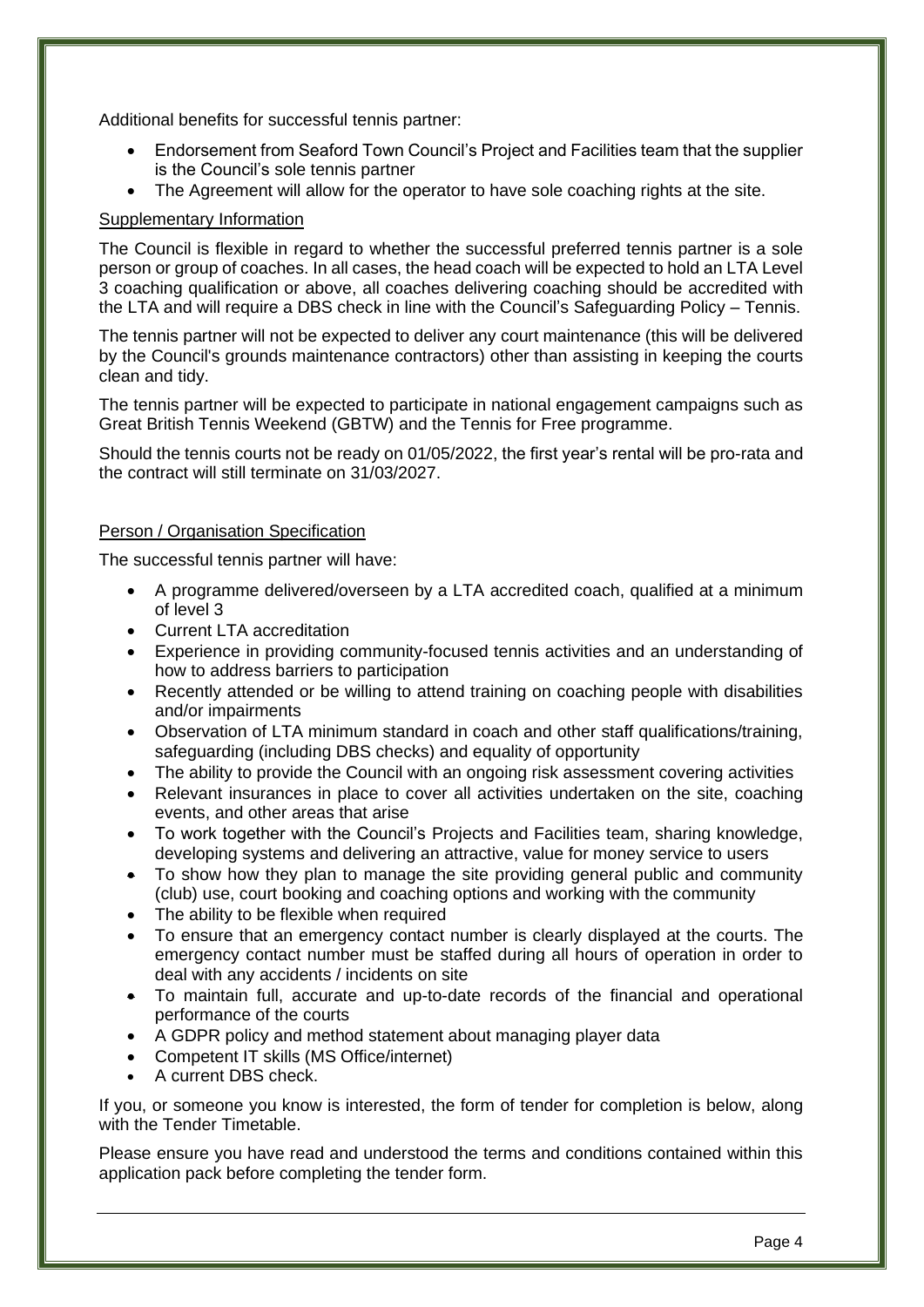Additional benefits for successful tennis partner:

- Endorsement from Seaford Town Council's Project and Facilities team that the supplier is the Council's sole tennis partner
- The Agreement will allow for the operator to have sole coaching rights at the site.

### Supplementary Information

The Council is flexible in regard to whether the successful preferred tennis partner is a sole person or group of coaches. In all cases, the head coach will be expected to hold an LTA Level 3 coaching qualification or above, all coaches delivering coaching should be accredited with the LTA and will require a DBS check in line with the Council's Safeguarding Policy – Tennis.

The tennis partner will not be expected to deliver any court maintenance (this will be delivered by the Council's grounds maintenance contractors) other than assisting in keeping the courts clean and tidy.

The tennis partner will be expected to participate in national engagement campaigns such as Great British Tennis Weekend (GBTW) and the Tennis for Free programme.

Should the tennis courts not be ready on 01/05/2022, the first year's rental will be pro-rata and the contract will still terminate on 31/03/2027.

#### Person / Organisation Specification

The successful tennis partner will have:

- A programme delivered/overseen by a LTA accredited coach, qualified at a minimum of level 3
- Current LTA accreditation
- Experience in providing community-focused tennis activities and an understanding of how to address barriers to participation
- Recently attended or be willing to attend training on coaching people with disabilities and/or impairments
- Observation of LTA minimum standard in coach and other staff qualifications/training, safeguarding (including DBS checks) and equality of opportunity
- The ability to provide the Council with an ongoing risk assessment covering activities
- Relevant insurances in place to cover all activities undertaken on the site, coaching events, and other areas that arise
- To work together with the Council's Projects and Facilities team, sharing knowledge, developing systems and delivering an attractive, value for money service to users
- To show how they plan to manage the site providing general public and community (club) use, court booking and coaching options and working with the community
- The ability to be flexible when required
- To ensure that an emergency contact number is clearly displayed at the courts. The emergency contact number must be staffed during all hours of operation in order to deal with any accidents / incidents on site
- To maintain full, accurate and up-to-date records of the financial and operational performance of the courts
- A GDPR policy and method statement about managing player data
- Competent IT skills (MS Office/internet)
- A current DBS check.

If you, or someone you know is interested, the form of tender for completion is below, along with the Tender Timetable.

Please ensure you have read and understood the terms and conditions contained within this application pack before completing the tender form.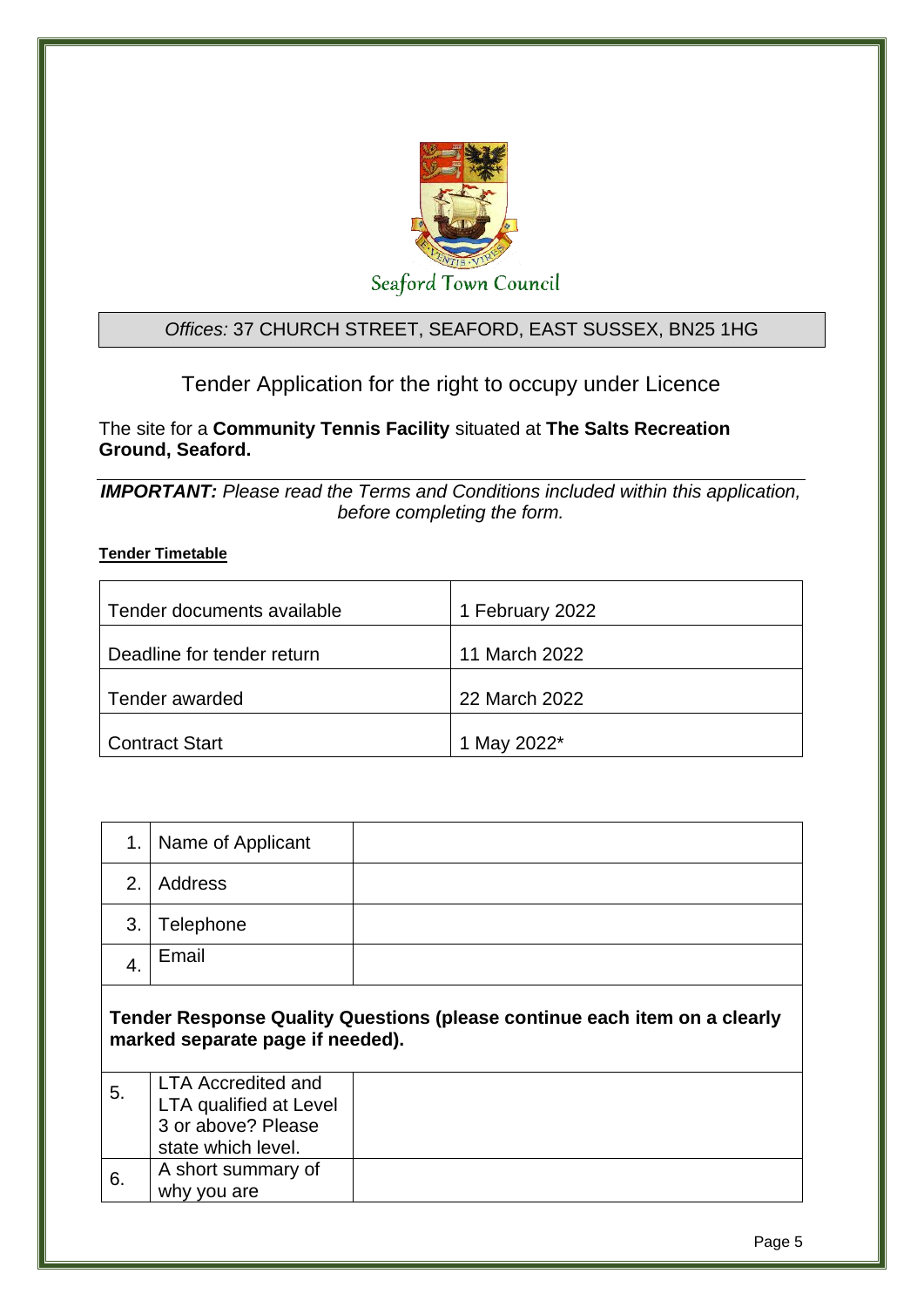

## *Offices:* 37 CHURCH STREET, SEAFORD, EAST SUSSEX, BN25 1HG

Tender Application for the right to occupy under Licence

The site for a **Community Tennis Facility** situated at **The Salts Recreation Ground, Seaford.** 

*IMPORTANT: Please read the Terms and Conditions included within this application, before completing the form.*

## **Tender Timetable**

| Tender documents available | 1 February 2022 |
|----------------------------|-----------------|
| Deadline for tender return | 11 March 2022   |
| Tender awarded             | 22 March 2022   |
| <b>Contract Start</b>      | 1 May 2022*     |

| 1.               | Name of Applicant                                                                               |                                                                           |
|------------------|-------------------------------------------------------------------------------------------------|---------------------------------------------------------------------------|
| 2.               | Address                                                                                         |                                                                           |
| 3.               | Telephone                                                                                       |                                                                           |
| $\overline{4}$ . | Email                                                                                           |                                                                           |
|                  |                                                                                                 | Tender Response Quality Questions (please continue each item on a clearly |
|                  | marked separate page if needed).                                                                |                                                                           |
| 5.               | <b>LTA Accredited and</b><br>LTA qualified at Level<br>3 or above? Please<br>state which level. |                                                                           |
| 6.               | A short summary of<br>why you are                                                               |                                                                           |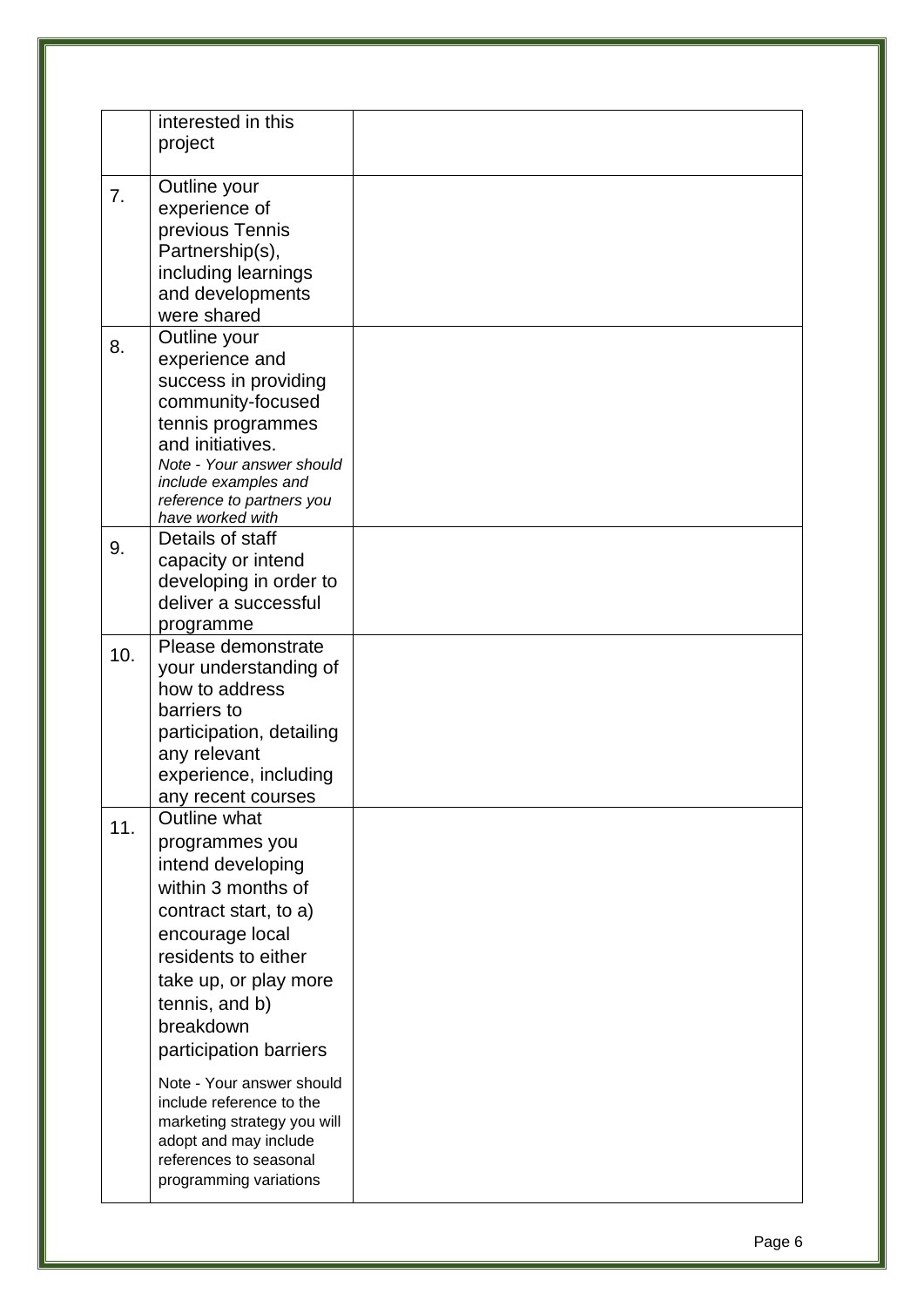|     | interested in this<br>project                                                                                                                                                                                                                                                           |  |
|-----|-----------------------------------------------------------------------------------------------------------------------------------------------------------------------------------------------------------------------------------------------------------------------------------------|--|
| 7.  | Outline your<br>experience of<br>previous Tennis<br>Partnership(s),<br>including learnings<br>and developments<br>were shared                                                                                                                                                           |  |
| 8.  | Outline your<br>experience and<br>success in providing<br>community-focused<br>tennis programmes<br>and initiatives.<br>Note - Your answer should<br>include examples and<br>reference to partners you<br>have worked with                                                              |  |
| 9.  | Details of staff<br>capacity or intend<br>developing in order to<br>deliver a successful<br>programme                                                                                                                                                                                   |  |
| 10. | Please demonstrate<br>your understanding of<br>how to address<br>barriers to<br>participation, detailing<br>any relevant<br>experience, including<br>any recent courses                                                                                                                 |  |
| 11. | Outline what<br>programmes you<br>intend developing<br>within 3 months of<br>contract start, to a)<br>encourage local<br>residents to either<br>take up, or play more<br>tennis, and b)<br>breakdown<br>participation barriers<br>Note - Your answer should<br>include reference to the |  |
|     | marketing strategy you will<br>adopt and may include<br>references to seasonal<br>programming variations                                                                                                                                                                                |  |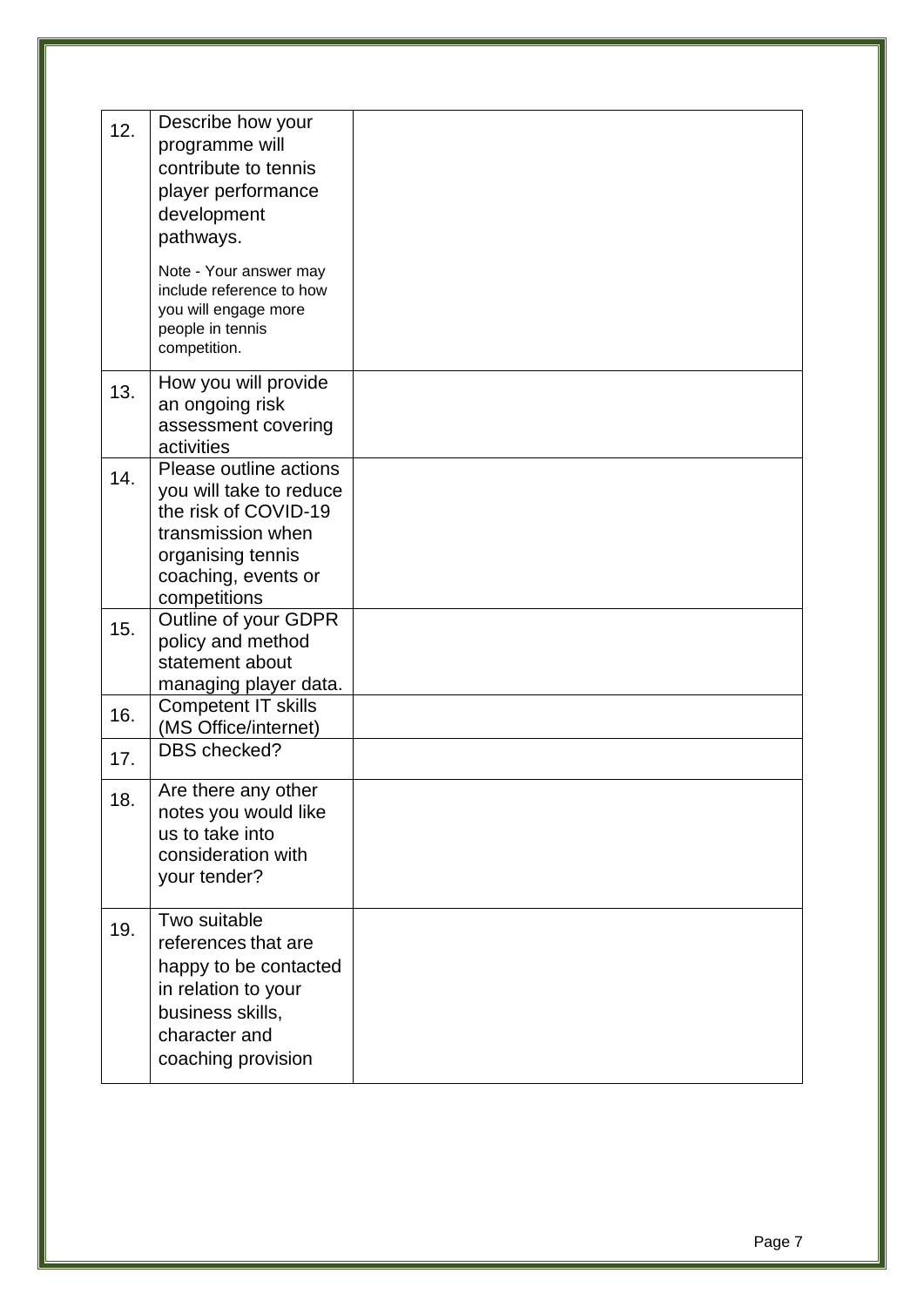| 12. | Describe how your<br>programme will<br>contribute to tennis<br>player performance<br>development<br>pathways.<br>Note - Your answer may<br>include reference to how<br>you will engage more<br>people in tennis<br>competition. |  |
|-----|---------------------------------------------------------------------------------------------------------------------------------------------------------------------------------------------------------------------------------|--|
| 13. | How you will provide<br>an ongoing risk<br>assessment covering<br>activities                                                                                                                                                    |  |
| 14. | Please outline actions<br>you will take to reduce<br>the risk of COVID-19<br>transmission when<br>organising tennis<br>coaching, events or<br>competitions                                                                      |  |
| 15. | Outline of your GDPR<br>policy and method<br>statement about<br>managing player data.                                                                                                                                           |  |
| 16. | <b>Competent IT skills</b><br>(MS Office/internet)                                                                                                                                                                              |  |
| 17. | DBS checked?                                                                                                                                                                                                                    |  |
| 18. | Are there any other<br>notes you would like<br>us to take into<br>consideration with<br>your tender?                                                                                                                            |  |
| 19. | Two suitable<br>references that are<br>happy to be contacted<br>in relation to your<br>business skills,<br>character and<br>coaching provision                                                                                  |  |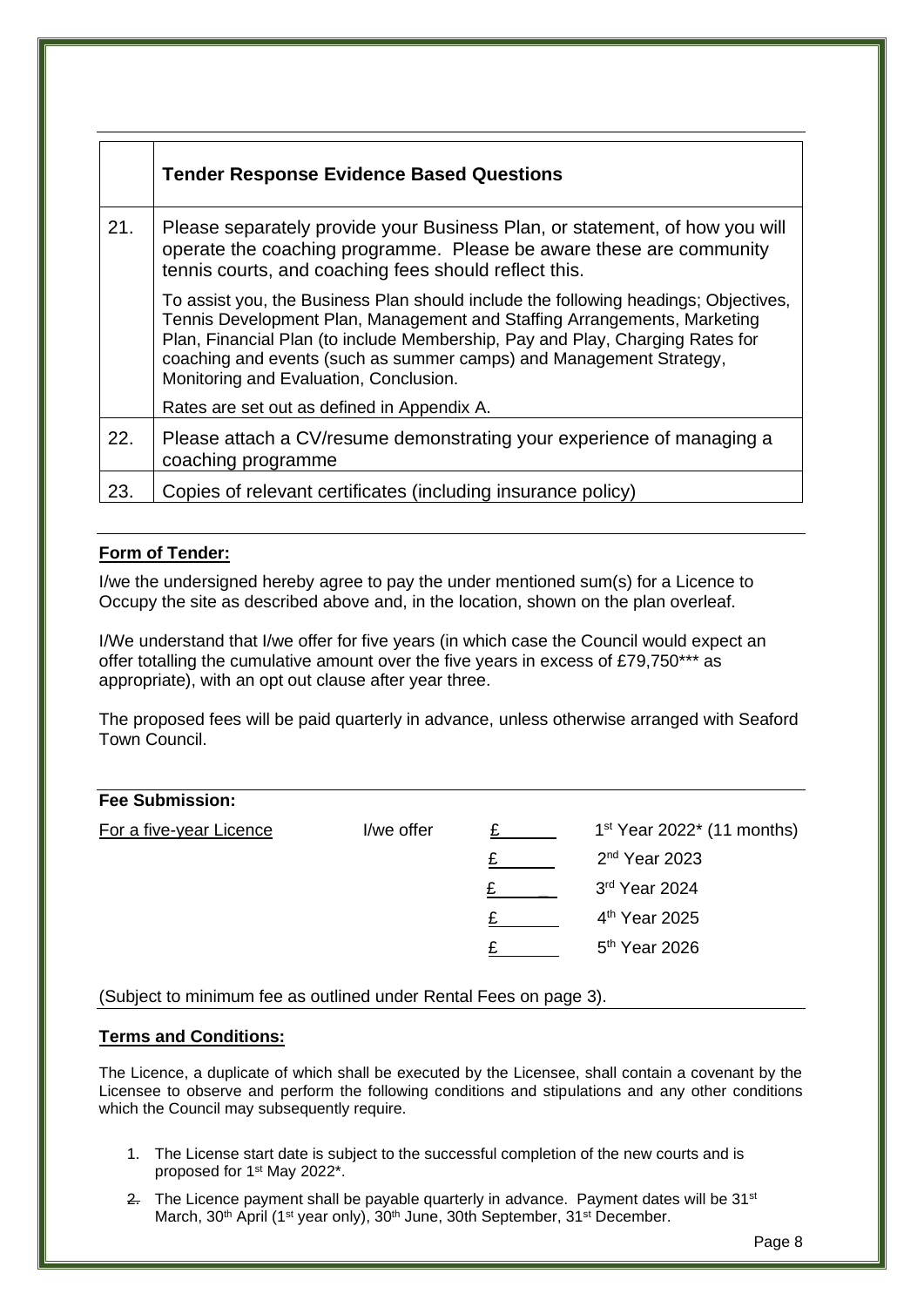|     | <b>Tender Response Evidence Based Questions</b>                                                                                                                                                                                                                                                                                                                   |
|-----|-------------------------------------------------------------------------------------------------------------------------------------------------------------------------------------------------------------------------------------------------------------------------------------------------------------------------------------------------------------------|
| 21. | Please separately provide your Business Plan, or statement, of how you will<br>operate the coaching programme. Please be aware these are community<br>tennis courts, and coaching fees should reflect this.                                                                                                                                                       |
|     | To assist you, the Business Plan should include the following headings; Objectives,<br>Tennis Development Plan, Management and Staffing Arrangements, Marketing<br>Plan, Financial Plan (to include Membership, Pay and Play, Charging Rates for<br>coaching and events (such as summer camps) and Management Strategy,<br>Monitoring and Evaluation, Conclusion. |
|     | Rates are set out as defined in Appendix A.                                                                                                                                                                                                                                                                                                                       |
| 22. | Please attach a CV/resume demonstrating your experience of managing a<br>coaching programme                                                                                                                                                                                                                                                                       |
| 23. | Copies of relevant certificates (including insurance policy)                                                                                                                                                                                                                                                                                                      |

## **Form of Tender:**

I/we the undersigned hereby agree to pay the under mentioned sum(s) for a Licence to Occupy the site as described above and, in the location, shown on the plan overleaf.

I/We understand that I/we offer for five years (in which case the Council would expect an offer totalling the cumulative amount over the five years in excess of £79,750\*\*\* as appropriate), with an opt out clause after year three.

The proposed fees will be paid quarterly in advance, unless otherwise arranged with Seaford Town Council.

## **Fee Submission:**

| For a five-year Licence | I/we offer | $1st$ Year 2022 <sup>*</sup> (11 months) |
|-------------------------|------------|------------------------------------------|
|                         |            | $2nd$ Year 2023                          |
|                         |            | 3rd Year 2024                            |
|                         |            | 4 <sup>th</sup> Year 2025                |
|                         |            | 5 <sup>th</sup> Year 2026                |
|                         |            |                                          |

(Subject to minimum fee as outlined under Rental Fees on page 3).

## **Terms and Conditions:**

The Licence, a duplicate of which shall be executed by the Licensee, shall contain a covenant by the Licensee to observe and perform the following conditions and stipulations and any other conditions which the Council may subsequently require.

- 1. The License start date is subject to the successful completion of the new courts and is proposed for 1<sup>st</sup> May 2022<sup>\*</sup>.
- $2.$  The Licence payment shall be payable quarterly in advance. Payment dates will be  $31<sup>st</sup>$ March, 30<sup>th</sup> April (1<sup>st</sup> year only), 30<sup>th</sup> June, 30th September, 31<sup>st</sup> December.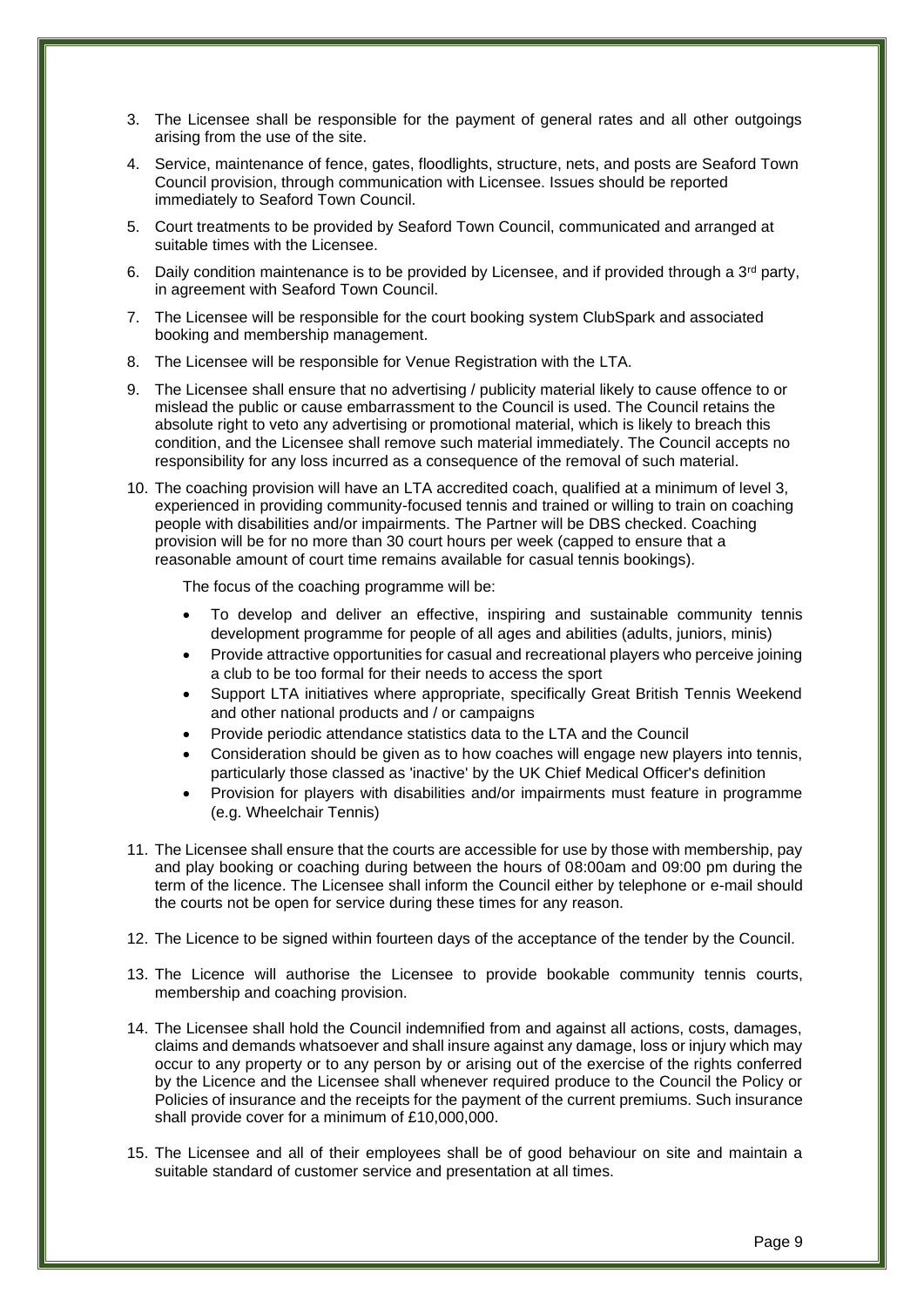- 3. The Licensee shall be responsible for the payment of general rates and all other outgoings arising from the use of the site.
- 4. Service, maintenance of fence, gates, floodlights, structure, nets, and posts are Seaford Town Council provision, through communication with Licensee. Issues should be reported immediately to Seaford Town Council.
- 5. Court treatments to be provided by Seaford Town Council, communicated and arranged at suitable times with the Licensee.
- 6. Daily condition maintenance is to be provided by Licensee, and if provided through a  $3<sup>rd</sup>$  party, in agreement with Seaford Town Council.
- 7. The Licensee will be responsible for the court booking system ClubSpark and associated booking and membership management.
- 8. The Licensee will be responsible for Venue Registration with the LTA.
- 9. The Licensee shall ensure that no advertising / publicity material likely to cause offence to or mislead the public or cause embarrassment to the Council is used. The Council retains the absolute right to veto any advertising or promotional material, which is likely to breach this condition, and the Licensee shall remove such material immediately. The Council accepts no responsibility for any loss incurred as a consequence of the removal of such material.
- 10. The coaching provision will have an LTA accredited coach, qualified at a minimum of level 3, experienced in providing community-focused tennis and trained or willing to train on coaching people with disabilities and/or impairments. The Partner will be DBS checked. Coaching provision will be for no more than 30 court hours per week (capped to ensure that a reasonable amount of court time remains available for casual tennis bookings).

The focus of the coaching programme will be:

- To develop and deliver an effective, inspiring and sustainable community tennis development programme for people of all ages and abilities (adults, juniors, minis)
- Provide attractive opportunities for casual and recreational players who perceive joining a club to be too formal for their needs to access the sport
- Support LTA initiatives where appropriate, specifically Great British Tennis Weekend and other national products and / or campaigns
- Provide periodic attendance statistics data to the LTA and the Council
- Consideration should be given as to how coaches will engage new players into tennis, particularly those classed as 'inactive' by the UK Chief Medical Officer's definition
- Provision for players with disabilities and/or impairments must feature in programme (e.g. Wheelchair Tennis)
- 11. The Licensee shall ensure that the courts are accessible for use by those with membership, pay and play booking or coaching during between the hours of 08:00am and 09:00 pm during the term of the licence. The Licensee shall inform the Council either by telephone or e-mail should the courts not be open for service during these times for any reason.
- 12. The Licence to be signed within fourteen days of the acceptance of the tender by the Council.
- 13. The Licence will authorise the Licensee to provide bookable community tennis courts, membership and coaching provision.
- 14. The Licensee shall hold the Council indemnified from and against all actions, costs, damages, claims and demands whatsoever and shall insure against any damage, loss or injury which may occur to any property or to any person by or arising out of the exercise of the rights conferred by the Licence and the Licensee shall whenever required produce to the Council the Policy or Policies of insurance and the receipts for the payment of the current premiums. Such insurance shall provide cover for a minimum of £10,000,000.
- 15. The Licensee and all of their employees shall be of good behaviour on site and maintain a suitable standard of customer service and presentation at all times.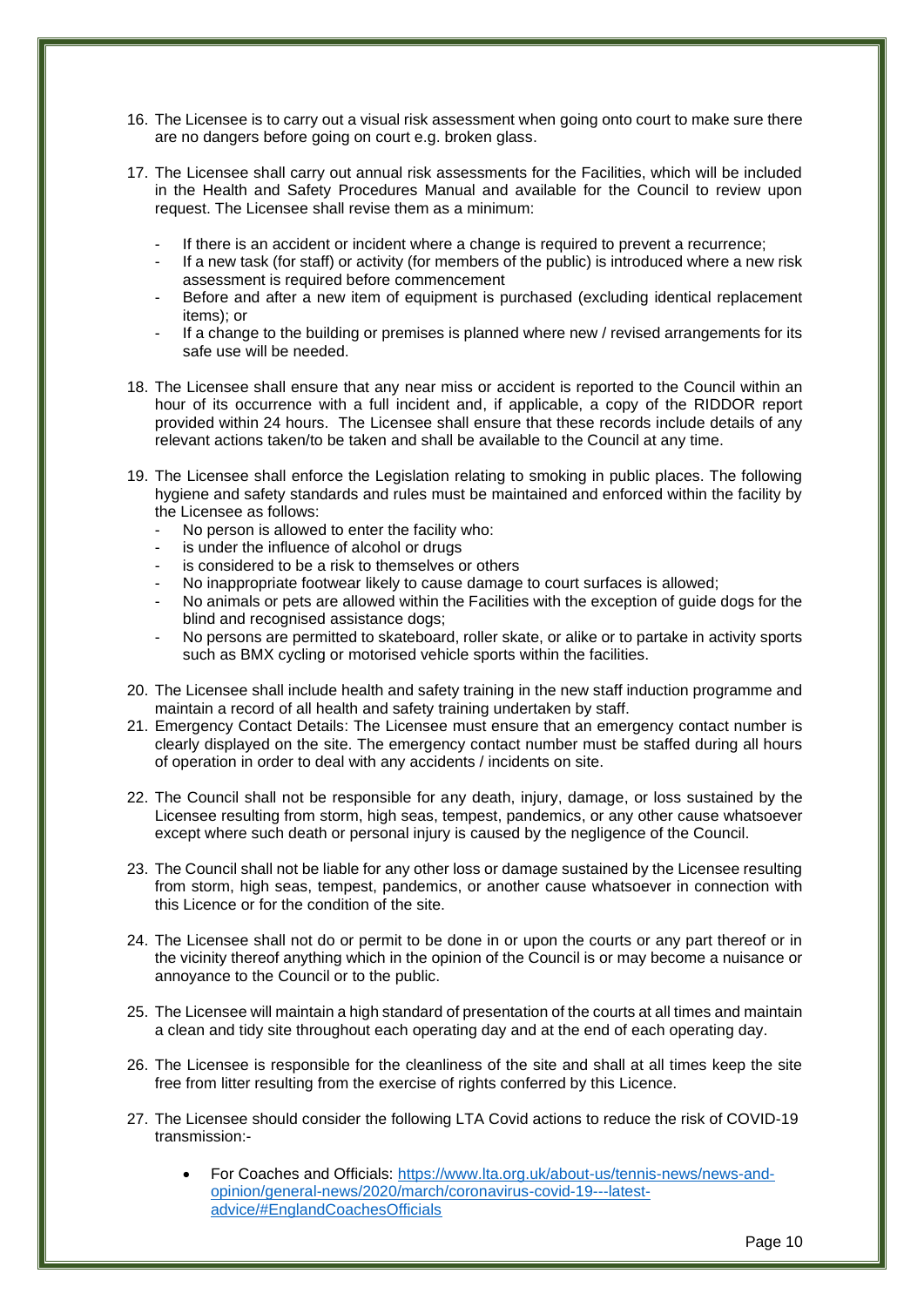- 16. The Licensee is to carry out a visual risk assessment when going onto court to make sure there are no dangers before going on court e.g. broken glass.
- 17. The Licensee shall carry out annual risk assessments for the Facilities, which will be included in the Health and Safety Procedures Manual and available for the Council to review upon request. The Licensee shall revise them as a minimum:
	- If there is an accident or incident where a change is required to prevent a recurrence;
	- If a new task (for staff) or activity (for members of the public) is introduced where a new risk assessment is required before commencement
	- Before and after a new item of equipment is purchased (excluding identical replacement items); or
	- If a change to the building or premises is planned where new / revised arrangements for its safe use will be needed.
- 18. The Licensee shall ensure that any near miss or accident is reported to the Council within an hour of its occurrence with a full incident and, if applicable, a copy of the RIDDOR report provided within 24 hours. The Licensee shall ensure that these records include details of any relevant actions taken/to be taken and shall be available to the Council at any time.
- 19. The Licensee shall enforce the Legislation relating to smoking in public places. The following hygiene and safety standards and rules must be maintained and enforced within the facility by the Licensee as follows:
	- No person is allowed to enter the facility who:
	- is under the influence of alcohol or drugs
	- is considered to be a risk to themselves or others
	- No inappropriate footwear likely to cause damage to court surfaces is allowed;
	- No animals or pets are allowed within the Facilities with the exception of guide dogs for the blind and recognised assistance dogs;
	- No persons are permitted to skateboard, roller skate, or alike or to partake in activity sports such as BMX cycling or motorised vehicle sports within the facilities.
- 20. The Licensee shall include health and safety training in the new staff induction programme and maintain a record of all health and safety training undertaken by staff.
- 21. Emergency Contact Details: The Licensee must ensure that an emergency contact number is clearly displayed on the site. The emergency contact number must be staffed during all hours of operation in order to deal with any accidents / incidents on site.
- 22. The Council shall not be responsible for any death, injury, damage, or loss sustained by the Licensee resulting from storm, high seas, tempest, pandemics, or any other cause whatsoever except where such death or personal injury is caused by the negligence of the Council.
- 23. The Council shall not be liable for any other loss or damage sustained by the Licensee resulting from storm, high seas, tempest, pandemics, or another cause whatsoever in connection with this Licence or for the condition of the site.
- 24. The Licensee shall not do or permit to be done in or upon the courts or any part thereof or in the vicinity thereof anything which in the opinion of the Council is or may become a nuisance or annoyance to the Council or to the public.
- 25. The Licensee will maintain a high standard of presentation of the courts at all times and maintain a clean and tidy site throughout each operating day and at the end of each operating day.
- 26. The Licensee is responsible for the cleanliness of the site and shall at all times keep the site free from litter resulting from the exercise of rights conferred by this Licence.
- 27. The Licensee should consider the following LTA Covid actions to reduce the risk of COVID-19 transmission:-
	- For Coaches and Officials: [https://www.lta.org.uk/about-us/tennis-news/news-and](https://www.lta.org.uk/about-us/tennis-news/news-and-opinion/general-news/2020/march/coronavirus-covid-19---latest-advice/#EnglandCoachesOfficials)[opinion/general-news/2020/march/coronavirus-covid-19---latest](https://www.lta.org.uk/about-us/tennis-news/news-and-opinion/general-news/2020/march/coronavirus-covid-19---latest-advice/#EnglandCoachesOfficials)[advice/#EnglandCoachesOfficials](https://www.lta.org.uk/about-us/tennis-news/news-and-opinion/general-news/2020/march/coronavirus-covid-19---latest-advice/#EnglandCoachesOfficials)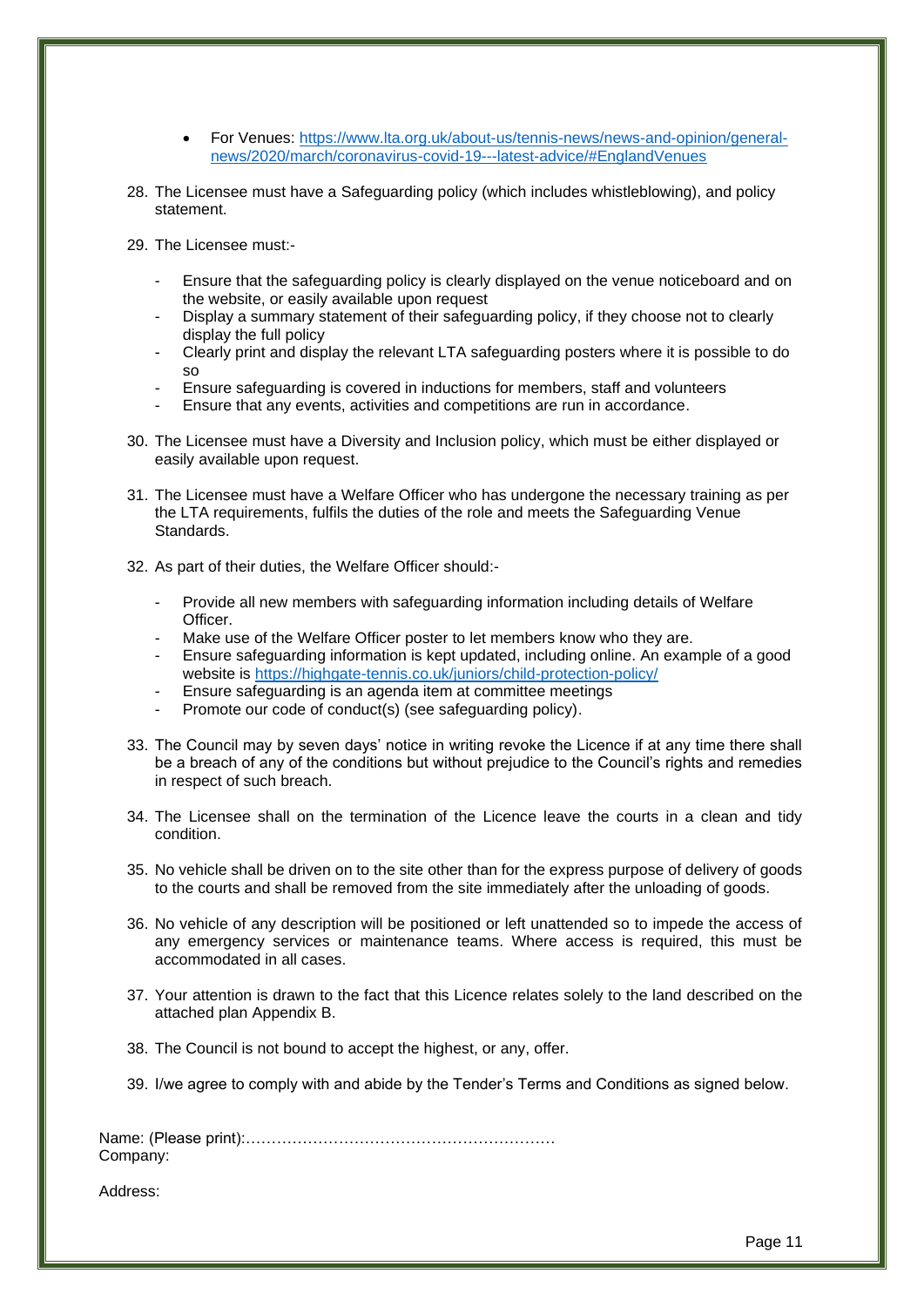- For Venues: [https://www.lta.org.uk/about-us/tennis-news/news-and-opinion/general](https://www.lta.org.uk/about-us/tennis-news/news-and-opinion/general-news/2020/march/coronavirus-covid-19---latest-advice/#EnglandVenues)[news/2020/march/coronavirus-covid-19---latest-advice/#EnglandVenues](https://www.lta.org.uk/about-us/tennis-news/news-and-opinion/general-news/2020/march/coronavirus-covid-19---latest-advice/#EnglandVenues)
- 28. The Licensee must have a Safeguarding policy (which includes whistleblowing), and policy statement.
- 29. The Licensee must:-
	- Ensure that the safeguarding policy is clearly displayed on the venue noticeboard and on the website, or easily available upon request
	- Display a summary statement of their safeguarding policy, if they choose not to clearly display the full policy
	- Clearly print and display the relevant LTA safeguarding posters where it is possible to do so
	- Ensure safeguarding is covered in inductions for members, staff and volunteers
	- Ensure that any events, activities and competitions are run in accordance.
- 30. The Licensee must have a Diversity and Inclusion policy, which must be either displayed or easily available upon request.
- 31. The Licensee must have a Welfare Officer who has undergone the necessary training as per the LTA requirements, fulfils the duties of the role and meets the Safeguarding Venue Standards.
- 32. As part of their duties, the Welfare Officer should:-
	- Provide all new members with safeguarding information including details of Welfare Officer.
	- Make use of the Welfare Officer poster to let members know who they are.
	- Ensure safeguarding information is kept updated, including online. An example of a good website is<https://highgate-tennis.co.uk/juniors/child-protection-policy/>
	- Ensure safeguarding is an agenda item at committee meetings
	- Promote our code of conduct(s) (see safeguarding policy).
- 33. The Council may by seven days' notice in writing revoke the Licence if at any time there shall be a breach of any of the conditions but without prejudice to the Council's rights and remedies in respect of such breach.
- 34. The Licensee shall on the termination of the Licence leave the courts in a clean and tidy condition.
- 35. No vehicle shall be driven on to the site other than for the express purpose of delivery of goods to the courts and shall be removed from the site immediately after the unloading of goods.
- 36. No vehicle of any description will be positioned or left unattended so to impede the access of any emergency services or maintenance teams. Where access is required, this must be accommodated in all cases.
- 37. Your attention is drawn to the fact that this Licence relates solely to the land described on the attached plan Appendix B.
- 38. The Council is not bound to accept the highest, or any, offer.
- 39. I/we agree to comply with and abide by the Tender's Terms and Conditions as signed below.

Name: (Please print):…………………………………………………… Company:

Address: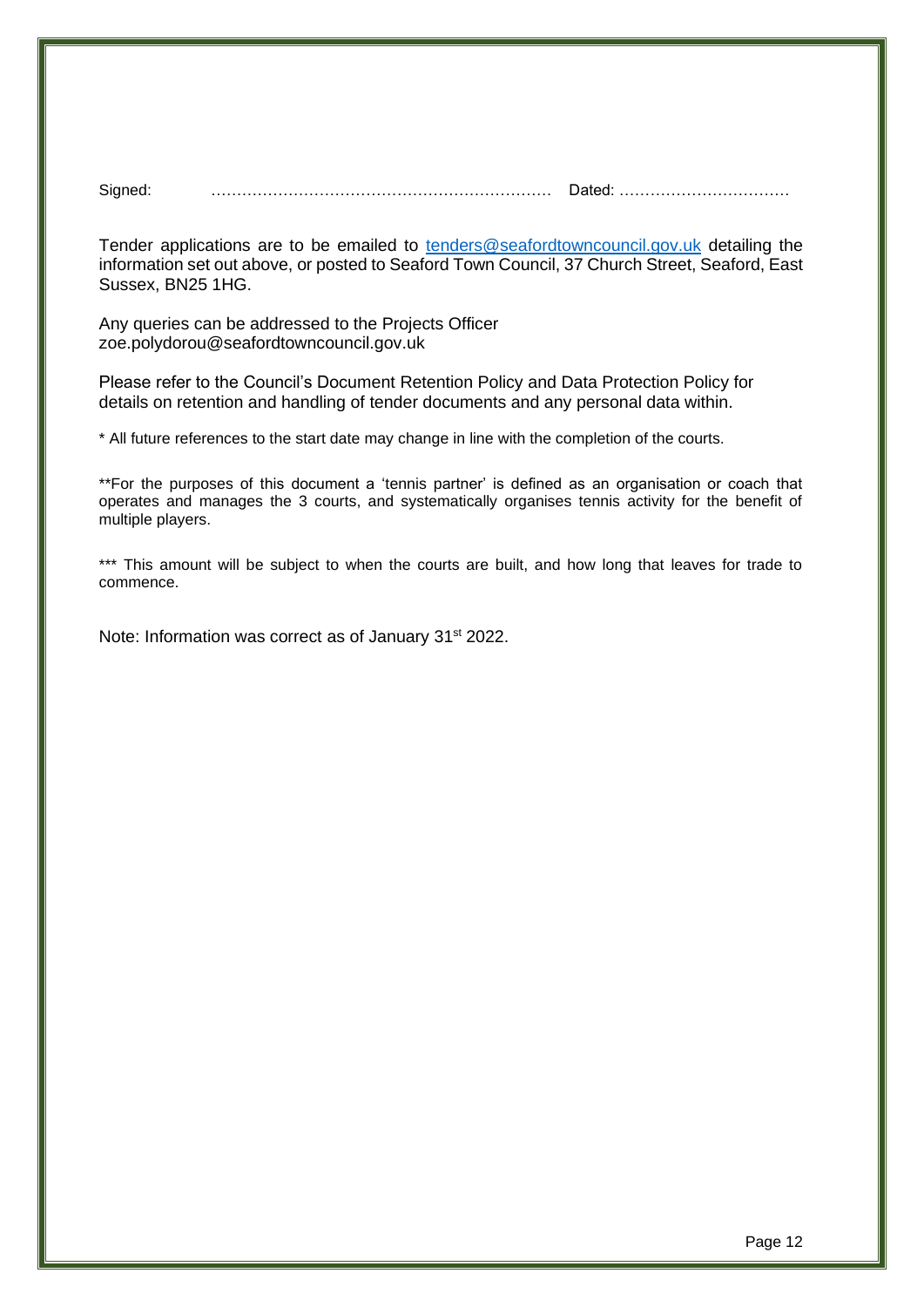Signed: ………………………………………………………… Dated: ……………………………

Tender applications are to be emailed to [tenders@seafordtowncouncil.gov.uk](mailto:tenders@seafordtowncouncil.gov.uk) detailing the information set out above, or posted to Seaford Town Council, 37 Church Street, Seaford, East Sussex, BN25 1HG.

Any queries can be addressed to the Projects Officer zoe.polydorou@seafordtowncouncil.gov.uk

Please refer to the Council's Document Retention Policy and Data Protection Policy for details on retention and handling of tender documents and any personal data within.

\* All future references to the start date may change in line with the completion of the courts.

\*\*For the purposes of this document a 'tennis partner' is defined as an organisation or coach that operates and manages the 3 courts, and systematically organises tennis activity for the benefit of multiple players.

\*\*\* This amount will be subject to when the courts are built, and how long that leaves for trade to commence.

Note: Information was correct as of January 31<sup>st</sup> 2022.